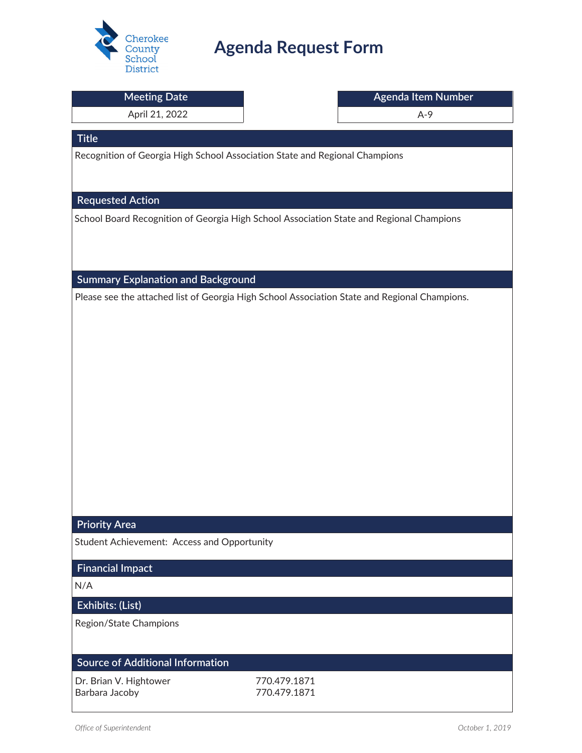

## **Agenda Request Form**

| <b>Meeting Date</b>                                                                           |              | Agenda Item Number |
|-----------------------------------------------------------------------------------------------|--------------|--------------------|
| April 21, 2022                                                                                |              | $A-9$              |
| <b>Title</b>                                                                                  |              |                    |
| Recognition of Georgia High School Association State and Regional Champions                   |              |                    |
|                                                                                               |              |                    |
| <b>Requested Action</b>                                                                       |              |                    |
| School Board Recognition of Georgia High School Association State and Regional Champions      |              |                    |
|                                                                                               |              |                    |
|                                                                                               |              |                    |
| <b>Summary Explanation and Background</b>                                                     |              |                    |
| Please see the attached list of Georgia High School Association State and Regional Champions. |              |                    |
|                                                                                               |              |                    |
|                                                                                               |              |                    |
|                                                                                               |              |                    |
|                                                                                               |              |                    |
|                                                                                               |              |                    |
|                                                                                               |              |                    |
|                                                                                               |              |                    |
|                                                                                               |              |                    |
|                                                                                               |              |                    |
|                                                                                               |              |                    |
|                                                                                               |              |                    |
| <b>Priority Area</b>                                                                          |              |                    |
| Student Achievement: Access and Opportunity                                                   |              |                    |
| <b>Financial Impact</b>                                                                       |              |                    |
| N/A                                                                                           |              |                    |
| Exhibits: (List)                                                                              |              |                    |
| Region/State Champions                                                                        |              |                    |
|                                                                                               |              |                    |
| <b>Source of Additional Information</b>                                                       |              |                    |
| Dr. Brian V. Hightower                                                                        | 770.479.1871 |                    |
| Barbara Jacoby                                                                                | 770.479.1871 |                    |
|                                                                                               |              |                    |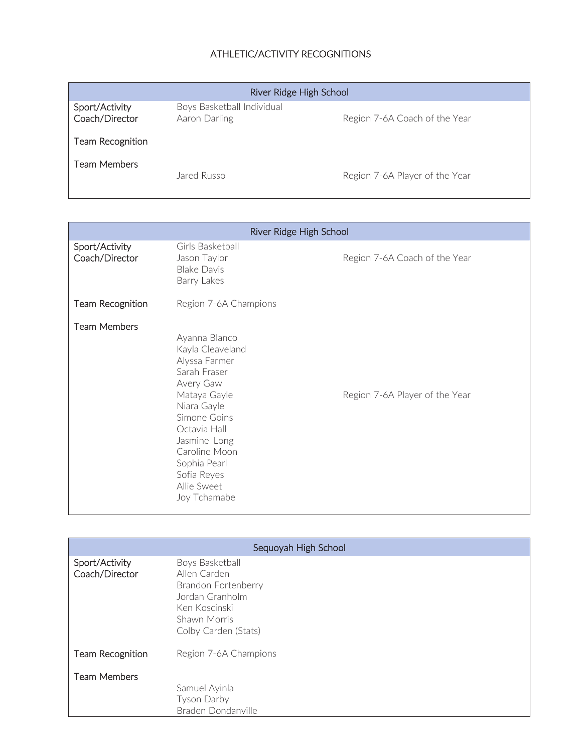## ATHLETIC/ACTIVITY RECOGNITIONS

| River Ridge High School          |                                             |                                |
|----------------------------------|---------------------------------------------|--------------------------------|
| Sport/Activity<br>Coach/Director | Boys Basketball Individual<br>Aaron Darling | Region 7-6A Coach of the Year  |
| Team Recognition                 |                                             |                                |
| <b>Team Members</b>              | Jared Russo                                 | Region 7-6A Player of the Year |

| River Ridge High School          |                                                                                                                                                                                                                                                                                 |                               |  |
|----------------------------------|---------------------------------------------------------------------------------------------------------------------------------------------------------------------------------------------------------------------------------------------------------------------------------|-------------------------------|--|
| Sport/Activity<br>Coach/Director | Girls Basketball<br>Jason Taylor<br><b>Blake Davis</b><br>Barry Lakes                                                                                                                                                                                                           | Region 7-6A Coach of the Year |  |
| Team Recognition                 | Region 7-6A Champions                                                                                                                                                                                                                                                           |                               |  |
| <b>Team Members</b>              | Ayanna Blanco<br>Kayla Cleaveland<br>Alyssa Farmer<br>Sarah Fraser<br>Avery Gaw<br>Mataya Gayle<br>Region 7-6A Player of the Year<br>Niara Gayle<br>Simone Goins<br>Octavia Hall<br>Jasmine Long<br>Caroline Moon<br>Sophia Pearl<br>Sofia Reyes<br>Allie Sweet<br>Joy Tchamabe |                               |  |

| Sequoyah High School             |                                                                                                                                    |  |
|----------------------------------|------------------------------------------------------------------------------------------------------------------------------------|--|
| Sport/Activity<br>Coach/Director | Boys Basketball<br>Allen Carden<br>Brandon Fortenberry<br>Jordan Granholm<br>Ken Koscinski<br>Shawn Morris<br>Colby Carden (Stats) |  |
| Team Recognition                 | Region 7-6A Champions                                                                                                              |  |
| <b>Team Members</b>              | Samuel Ayinla<br><b>Tyson Darby</b><br>Braden Dondanville                                                                          |  |